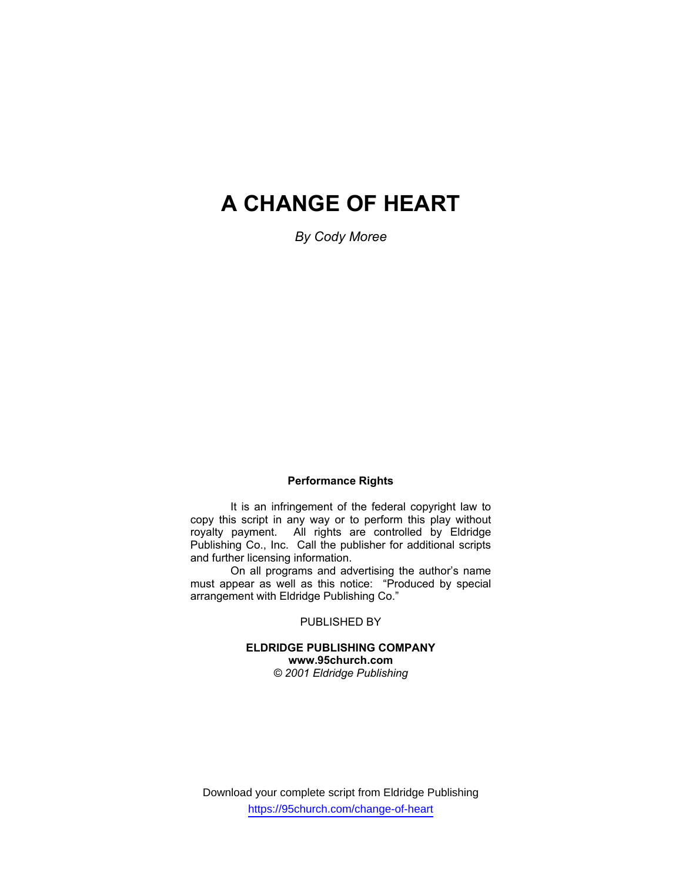# **A CHANGE OF HEART**

*By Cody Moree* 

#### **Performance Rights**

 It is an infringement of the federal copyright law to copy this script in any way or to perform this play without royalty payment. All rights are controlled by Eldridge Publishing Co., Inc. Call the publisher for additional scripts and further licensing information.

 On all programs and advertising the author's name must appear as well as this notice: "Produced by special arrangement with Eldridge Publishing Co."

PUBLISHED BY

#### **ELDRIDGE PUBLISHING COMPANY www.95church.com**  *© 2001 Eldridge Publishing*

Download your complete script from Eldridge Publishing https://95church.com/change-of-heart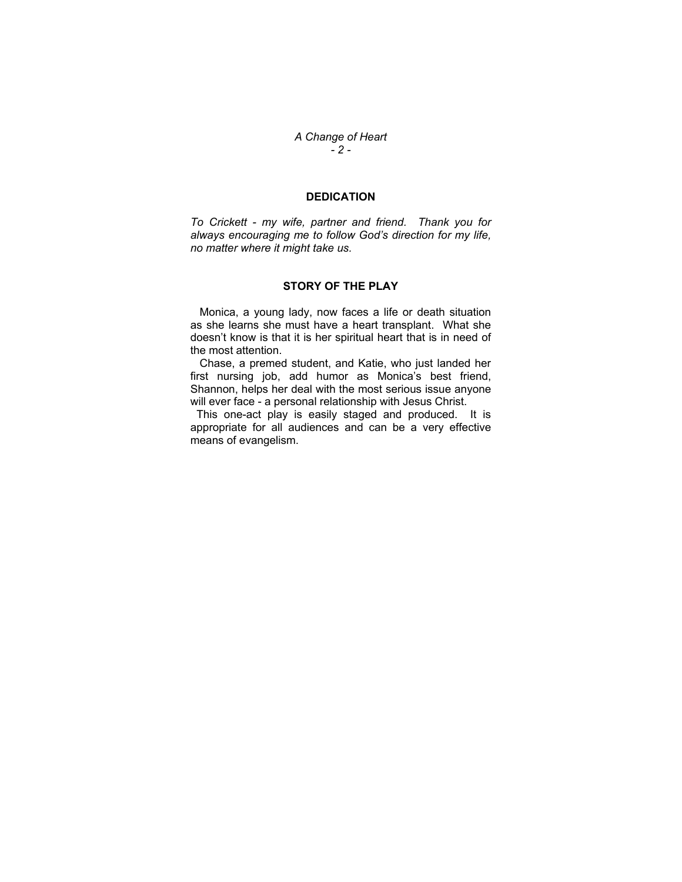*A Change of Heart - 2 -* 

## **DEDICATION**

*To Crickett - my wife, partner and friend. Thank you for always encouraging me to follow God's direction for my life, no matter where it might take us.* 

#### **STORY OF THE PLAY**

 Monica, a young lady, now faces a life or death situation as she learns she must have a heart transplant. What she doesn't know is that it is her spiritual heart that is in need of the most attention.

 Chase, a premed student, and Katie, who just landed her first nursing job, add humor as Monica's best friend, Shannon, helps her deal with the most serious issue anyone will ever face - a personal relationship with Jesus Christ.

 This one-act play is easily staged and produced. It is appropriate for all audiences and can be a very effective means of evangelism.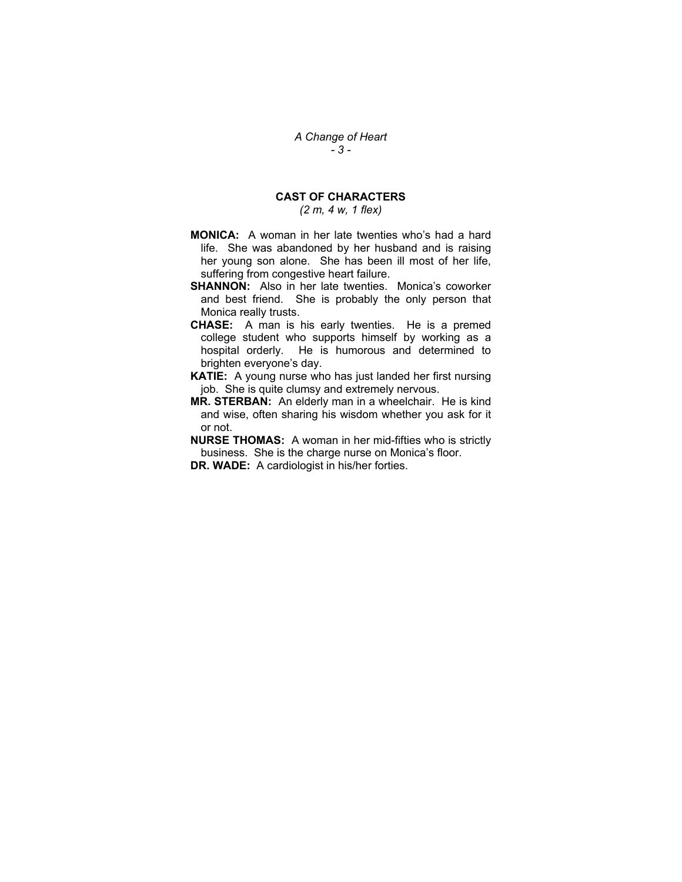## **CAST OF CHARACTERS**

*(2 m, 4 w, 1 flex)* 

- **MONICA:** A woman in her late twenties who's had a hard life. She was abandoned by her husband and is raising her young son alone. She has been ill most of her life, suffering from congestive heart failure.
- **SHANNON:** Also in her late twenties. Monica's coworker and best friend. She is probably the only person that Monica really trusts.
- **CHASE:** A man is his early twenties. He is a premed college student who supports himself by working as a hospital orderly. He is humorous and determined to brighten everyone's day.
- **KATIE:** A young nurse who has just landed her first nursing job. She is quite clumsy and extremely nervous.
- **MR. STERBAN:** An elderly man in a wheelchair. He is kind and wise, often sharing his wisdom whether you ask for it or not.
- **NURSE THOMAS:** A woman in her mid-fifties who is strictly business. She is the charge nurse on Monica's floor. **DR. WADE:** A cardiologist in his/her forties.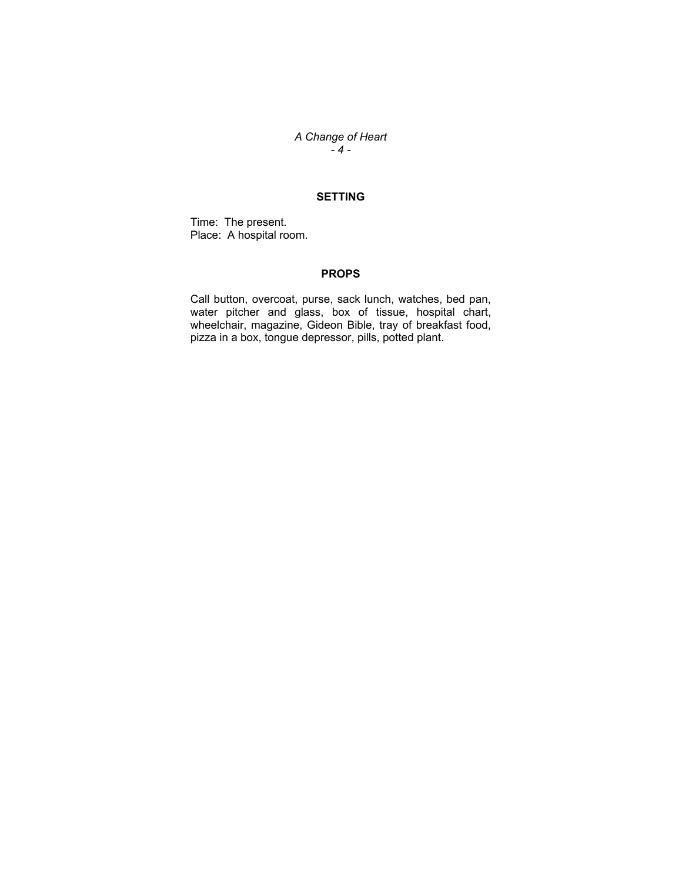## *A Change of Heart - 4 -*

## **SETTING**

Time: The present. Place: A hospital room.

#### **PROPS**

Call button, overcoat, purse, sack lunch, watches, bed pan, water pitcher and glass, box of tissue, hospital chart, wheelchair, magazine, Gideon Bible, tray of breakfast food, pizza in a box, tongue depressor, pills, potted plant.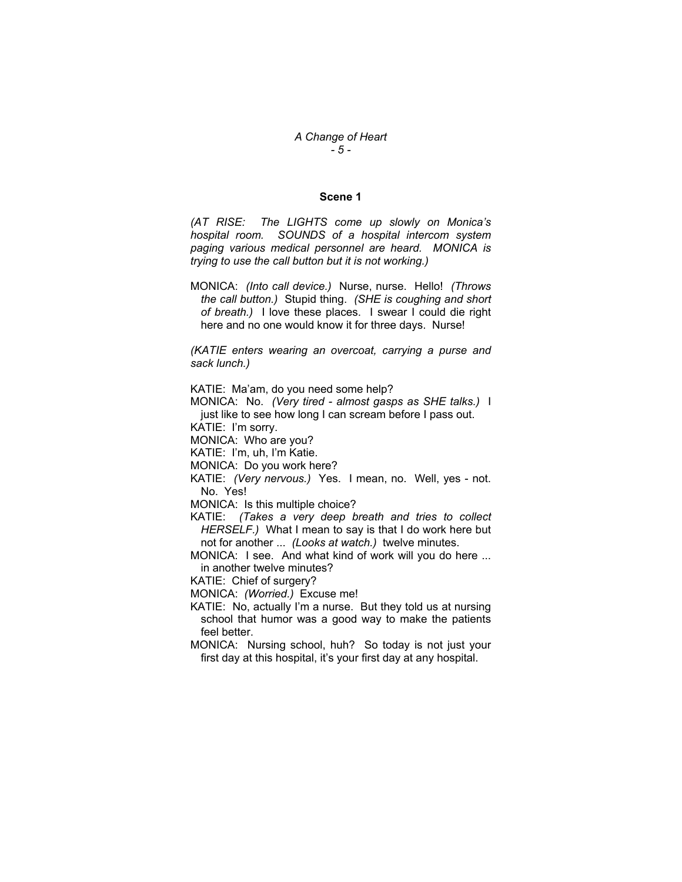## *A Change of Heart - 5 -*

#### **Scene 1**

*(AT RISE: The LIGHTS come up slowly on Monica's hospital room. SOUNDS of a hospital intercom system paging various medical personnel are heard. MONICA is trying to use the call button but it is not working.)* 

MONICA: *(Into call device.)* Nurse, nurse. Hello! *(Throws the call button.)* Stupid thing. *(SHE is coughing and short of breath.)* I love these places. I swear I could die right here and no one would know it for three days. Nurse!

*(KATIE enters wearing an overcoat, carrying a purse and sack lunch.)* 

KATIE: Ma'am, do you need some help?

MONICA: No. *(Very tired - almost gasps as SHE talks.)* I just like to see how long I can scream before I pass out.

KATIE: I'm sorry.

MONICA: Who are you?

KATIE: I'm, uh, I'm Katie.

MONICA: Do you work here?

KATIE: *(Very nervous.)* Yes. I mean, no. Well, yes - not. No. Yes!

MONICA: Is this multiple choice?

KATIE: *(Takes a very deep breath and tries to collect HERSELF.)* What I mean to say is that I do work here but not for another ... *(Looks at watch.)* twelve minutes.

MONICA: I see. And what kind of work will you do here ... in another twelve minutes?

KATIE: Chief of surgery?

MONICA: *(Worried.)* Excuse me!

KATIE: No, actually I'm a nurse. But they told us at nursing school that humor was a good way to make the patients feel better.

MONICA: Nursing school, huh? So today is not just your first day at this hospital, it's your first day at any hospital.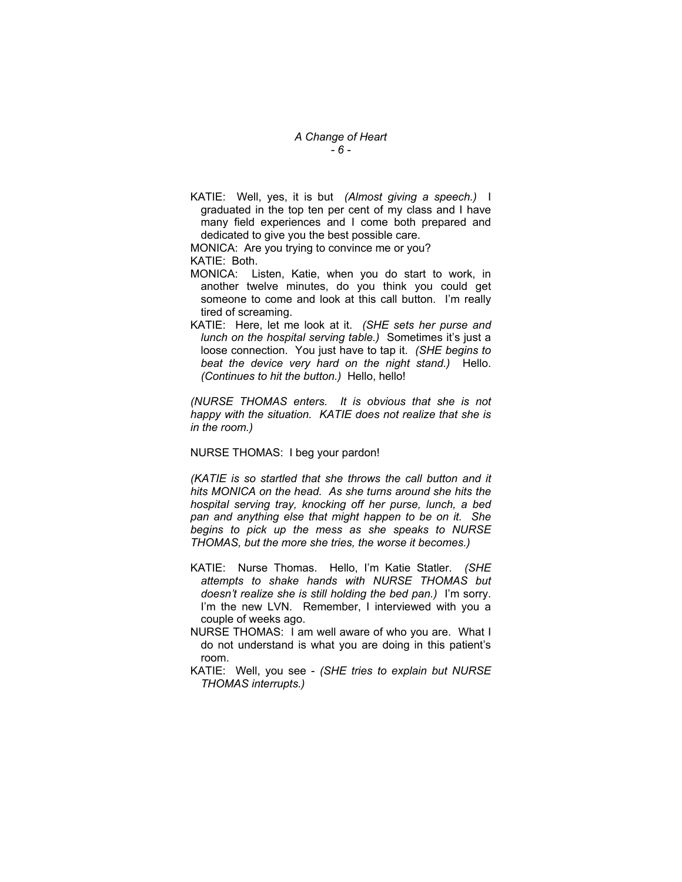## *A Change of Heart - 6 -*

KATIE: Well, yes, it is but *(Almost giving a speech.)* I graduated in the top ten per cent of my class and I have many field experiences and I come both prepared and dedicated to give you the best possible care.

MONICA: Are you trying to convince me or you? KATIE: Both.

- MONICA: Listen, Katie, when you do start to work, in another twelve minutes, do you think you could get someone to come and look at this call button. I'm really tired of screaming.
- KATIE: Here, let me look at it. *(SHE sets her purse and lunch on the hospital serving table.)* Sometimes it's just a loose connection. You just have to tap it. *(SHE begins to beat the device very hard on the night stand.)* Hello. *(Continues to hit the button.)* Hello, hello!

*(NURSE THOMAS enters. It is obvious that she is not happy with the situation. KATIE does not realize that she is in the room.)* 

#### NURSE THOMAS: I beg your pardon!

*(KATIE is so startled that she throws the call button and it hits MONICA on the head. As she turns around she hits the hospital serving tray, knocking off her purse, lunch, a bed pan and anything else that might happen to be on it. She begins to pick up the mess as she speaks to NURSE THOMAS, but the more she tries, the worse it becomes.)* 

- KATIE: Nurse Thomas. Hello, I'm Katie Statler. *(SHE attempts to shake hands with NURSE THOMAS but doesn't realize she is still holding the bed pan.)* I'm sorry. I'm the new LVN. Remember, I interviewed with you a couple of weeks ago.
- NURSE THOMAS: I am well aware of who you are. What I do not understand is what you are doing in this patient's room.
- KATIE: Well, you see *(SHE tries to explain but NURSE THOMAS interrupts.)*